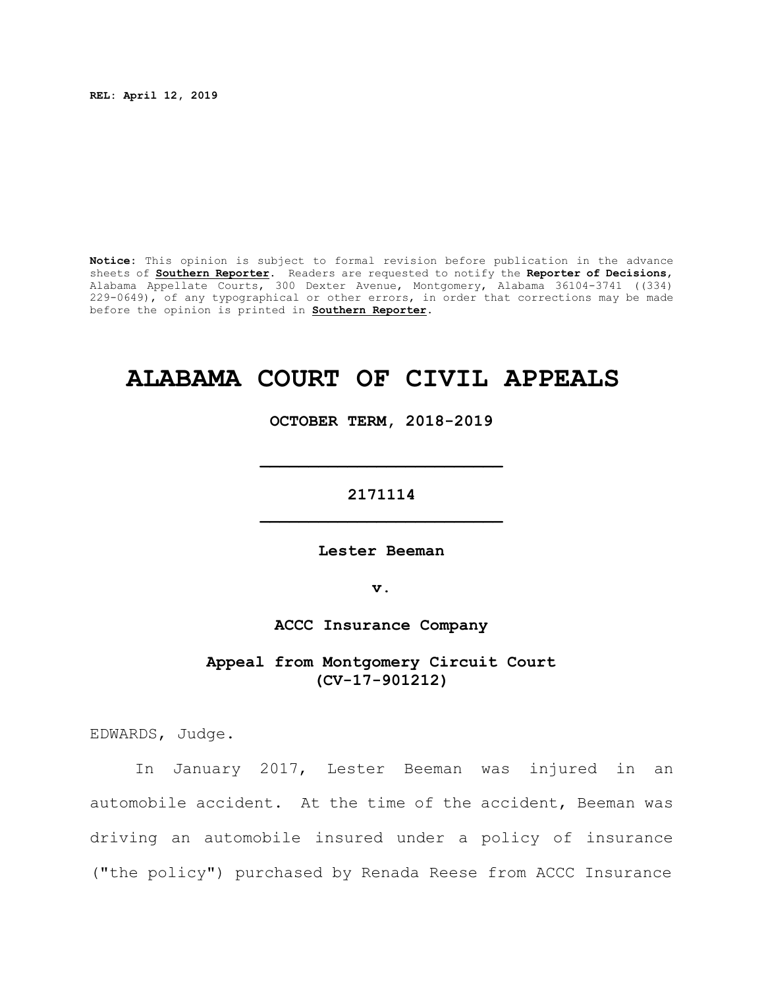**REL: April 12, 2019**

**Notice:** This opinion is subject to formal revision before publication in the advance sheets of **Southern Reporter**. Readers are requested to notify the **Reporter of Decisions**, Alabama Appellate Courts, 300 Dexter Avenue, Montgomery, Alabama 36104-3741 ((334) 229-0649), of any typographical or other errors, in order that corrections may be made before the opinion is printed in **Southern Reporter**.

# **ALABAMA COURT OF CIVIL APPEALS**

**OCTOBER TERM, 2018-2019**

**\_\_\_\_\_\_\_\_\_\_\_\_\_\_\_\_\_\_\_\_\_\_\_\_\_**

**2171114 \_\_\_\_\_\_\_\_\_\_\_\_\_\_\_\_\_\_\_\_\_\_\_\_\_**

**Lester Beeman**

**v.**

**ACCC Insurance Company**

**Appeal from Montgomery Circuit Court (CV-17-901212)**

EDWARDS, Judge.

In January 2017, Lester Beeman was injured in an automobile accident. At the time of the accident, Beeman was driving an automobile insured under a policy of insurance ("the policy") purchased by Renada Reese from ACCC Insurance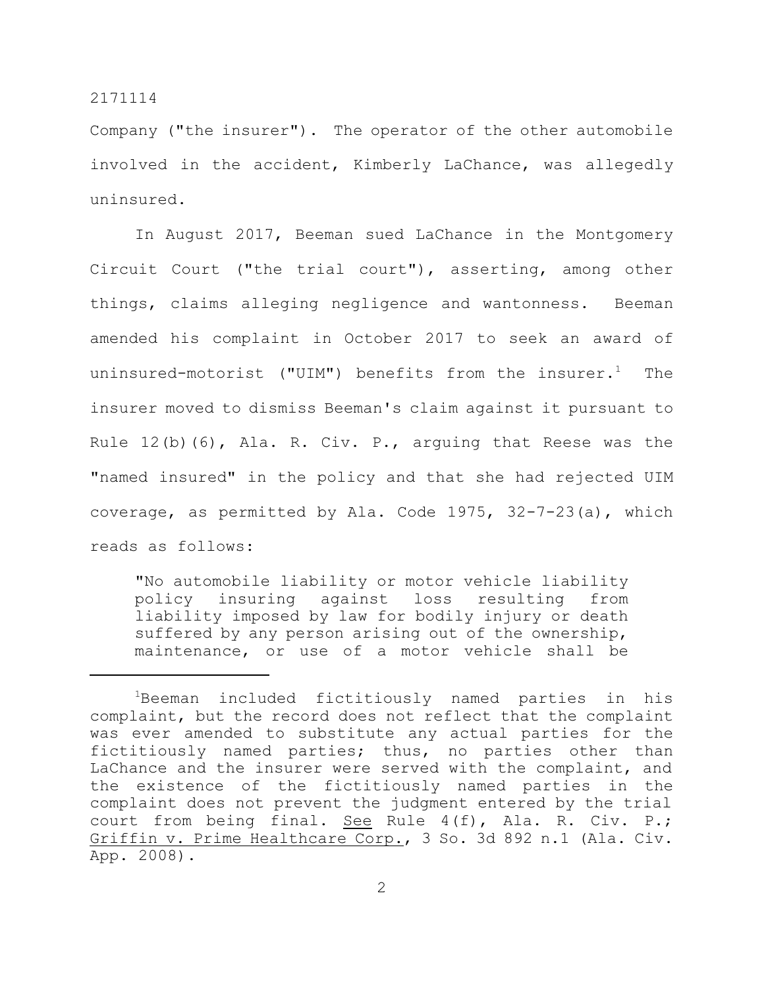Company ("the insurer"). The operator of the other automobile involved in the accident, Kimberly LaChance, was allegedly uninsured.

In August 2017, Beeman sued LaChance in the Montgomery Circuit Court ("the trial court"), asserting, among other things, claims alleging negligence and wantonness. Beeman amended his complaint in October 2017 to seek an award of uninsured-motorist ("UIM") benefits from the insurer.<sup>1</sup> The insurer moved to dismiss Beeman's claim against it pursuant to Rule 12(b)(6), Ala. R. Civ. P., arguing that Reese was the "named insured" in the policy and that she had rejected UIM coverage, as permitted by Ala. Code 1975, 32-7-23(a), which reads as follows:

"No automobile liability or motor vehicle liability policy insuring against loss resulting from liability imposed by law for bodily injury or death suffered by any person arising out of the ownership, maintenance, or use of a motor vehicle shall be

<sup>1</sup>Beeman included fictitiously named parties in his complaint, but the record does not reflect that the complaint was ever amended to substitute any actual parties for the fictitiously named parties; thus, no parties other than LaChance and the insurer were served with the complaint, and the existence of the fictitiously named parties in the complaint does not prevent the judgment entered by the trial court from being final. See Rule 4(f), Ala. R. Civ. P.; Griffin v. Prime Healthcare Corp., 3 So. 3d 892 n.1 (Ala. Civ. App. 2008).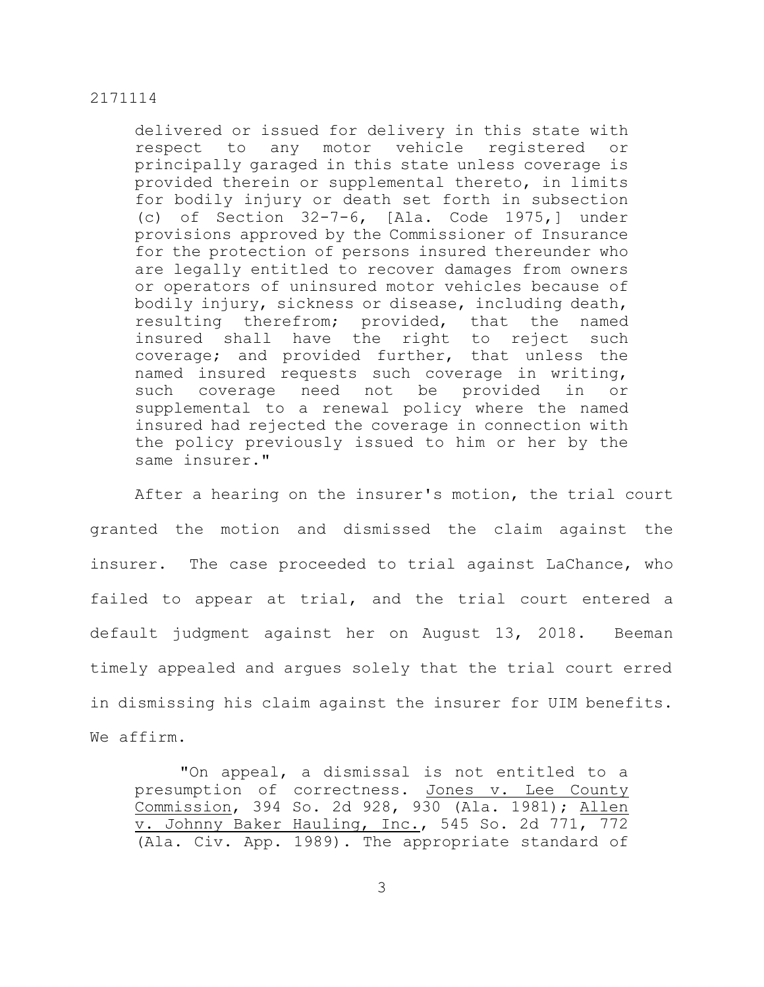delivered or issued for delivery in this state with respect to any motor vehicle registered or principally garaged in this state unless coverage is provided therein or supplemental thereto, in limits for bodily injury or death set forth in subsection (c) of Section 32-7-6, [Ala. Code 1975,] under provisions approved by the Commissioner of Insurance for the protection of persons insured thereunder who are legally entitled to recover damages from owners or operators of uninsured motor vehicles because of bodily injury, sickness or disease, including death, resulting therefrom; provided, that the named insured shall have the right to reject such coverage; and provided further, that unless the named insured requests such coverage in writing, such coverage need not be provided in or supplemental to a renewal policy where the named insured had rejected the coverage in connection with the policy previously issued to him or her by the same insurer."

After a hearing on the insurer's motion, the trial court granted the motion and dismissed the claim against the insurer. The case proceeded to trial against LaChance, who failed to appear at trial, and the trial court entered a default judgment against her on August 13, 2018. Beeman timely appealed and argues solely that the trial court erred in dismissing his claim against the insurer for UIM benefits. We affirm.

"On appeal, a dismissal is not entitled to a presumption of correctness. Jones v. Lee County Commission, 394 So. 2d 928, 930 (Ala. 1981); Allen v. Johnny Baker Hauling, Inc., 545 So. 2d 771, 772 (Ala. Civ. App. 1989). The appropriate standard of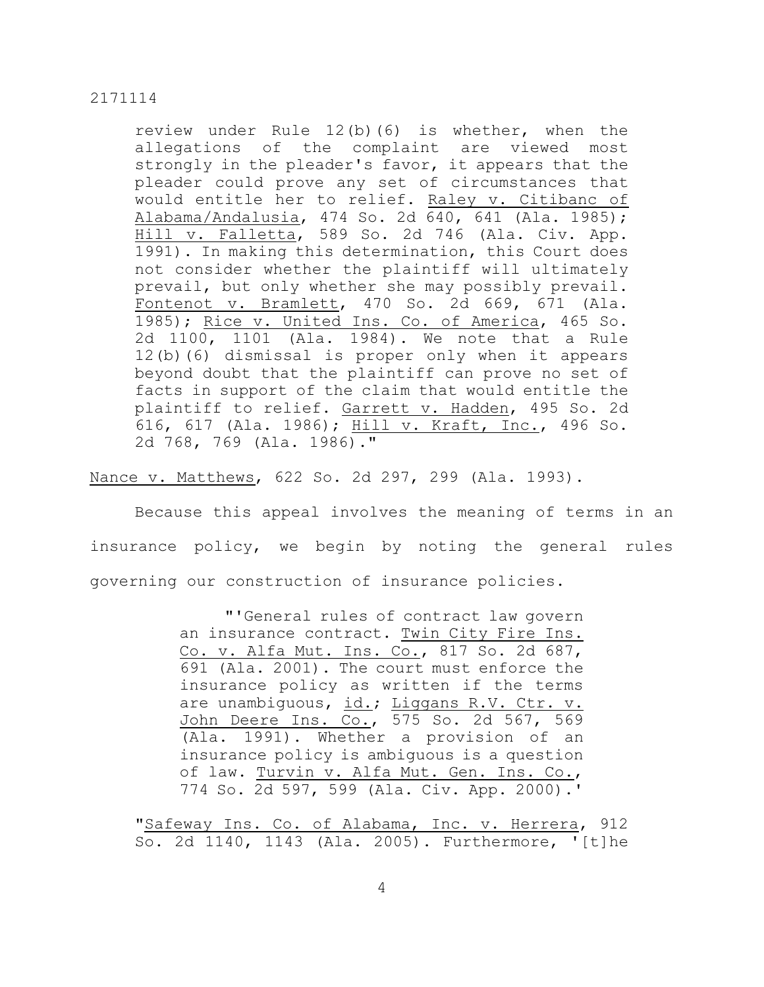review under Rule 12(b)(6) is whether, when the allegations of the complaint are viewed most strongly in the pleader's favor, it appears that the pleader could prove any set of circumstances that would entitle her to relief. Raley v. Citibanc of Alabama/Andalusia, 474 So. 2d 640, 641 (Ala. 1985); Hill v. Falletta, 589 So. 2d 746 (Ala. Civ. App. 1991). In making this determination, this Court does not consider whether the plaintiff will ultimately prevail, but only whether she may possibly prevail. Fontenot v. Bramlett, 470 So. 2d 669, 671 (Ala. 1985); Rice v. United Ins. Co. of America, 465 So. 2d 1100, 1101 (Ala. 1984). We note that a Rule 12(b)(6) dismissal is proper only when it appears beyond doubt that the plaintiff can prove no set of facts in support of the claim that would entitle the plaintiff to relief. Garrett v. Hadden, 495 So. 2d 616, 617 (Ala. 1986); Hill v. Kraft, Inc., 496 So. 2d 768, 769 (Ala. 1986)."

Nance v. Matthews, 622 So. 2d 297, 299 (Ala. 1993).

Because this appeal involves the meaning of terms in an insurance policy, we begin by noting the general rules governing our construction of insurance policies.

> "'General rules of contract law govern an insurance contract. Twin City Fire Ins. Co. v. Alfa Mut. Ins. Co., 817 So. 2d 687, 691 (Ala. 2001). The court must enforce the insurance policy as written if the terms are unambiguous, id.; Liggans R.V. Ctr. v. John Deere Ins. Co., 575 So. 2d 567, 569 (Ala. 1991). Whether a provision of an insurance policy is ambiguous is a question of law. Turvin v. Alfa Mut. Gen. Ins. Co., 774 So. 2d 597, 599 (Ala. Civ. App. 2000).'

"Safeway Ins. Co. of Alabama, Inc. v. Herrera, 912 So. 2d 1140, 1143 (Ala. 2005). Furthermore, '[t]he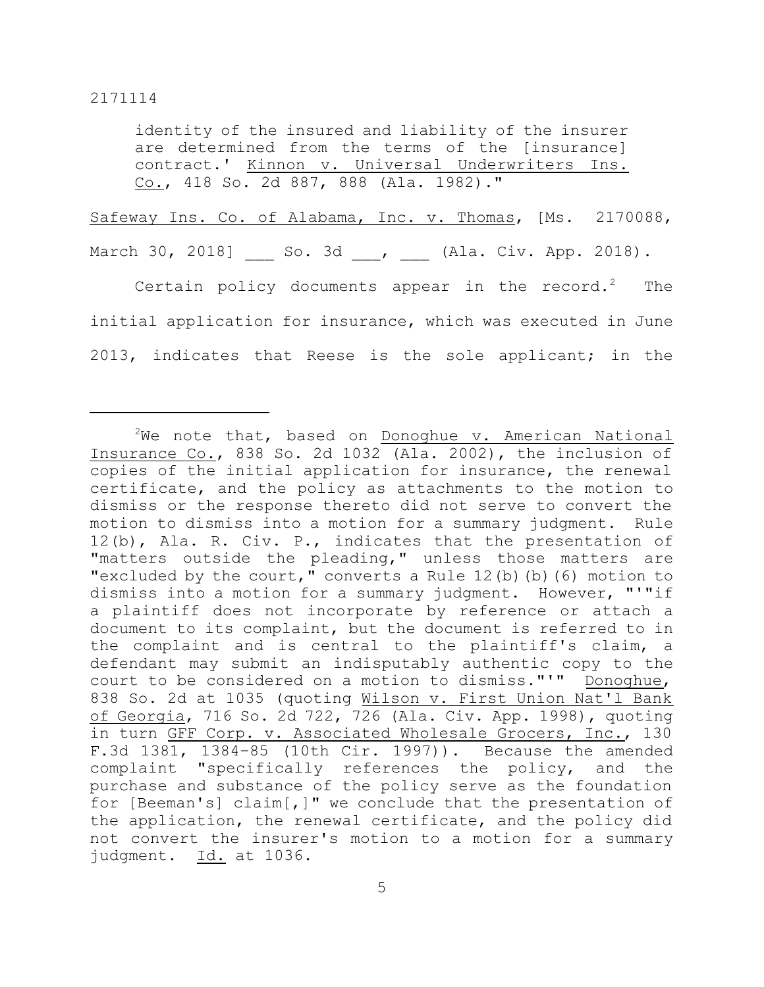identity of the insured and liability of the insurer are determined from the terms of the [insurance] contract.' Kinnon v. Universal Underwriters Ins. Co., 418 So. 2d 887, 888 (Ala. 1982)."

Safeway Ins. Co. of Alabama, Inc. v. Thomas, [Ms. 2170088,

March 30, 2018] So. 3d , (Ala. Civ. App. 2018).

Certain policy documents appear in the record.<sup>2</sup> The initial application for insurance, which was executed in June 2013, indicates that Reese is the sole applicant; in the

 $2$ We note that, based on Donoghue v. American National Insurance Co., 838 So. 2d 1032 (Ala. 2002), the inclusion of copies of the initial application for insurance, the renewal certificate, and the policy as attachments to the motion to dismiss or the response thereto did not serve to convert the motion to dismiss into a motion for a summary judgment. Rule 12(b), Ala. R. Civ. P., indicates that the presentation of "matters outside the pleading," unless those matters are "excluded by the court," converts a Rule 12(b)(b)(6) motion to dismiss into a motion for a summary judgment. However, "'"if a plaintiff does not incorporate by reference or attach a document to its complaint, but the document is referred to in the complaint and is central to the plaintiff's claim, a defendant may submit an indisputably authentic copy to the court to be considered on a motion to dismiss."'" Donoghue, 838 So. 2d at 1035 (quoting Wilson v. First Union Nat'l Bank of Georgia, 716 So. 2d 722, 726 (Ala. Civ. App. 1998), quoting in turn GFF Corp. v. Associated Wholesale Grocers, Inc., 130 F.3d 1381, 1384–85 (10th Cir. 1997)). Because the amended complaint "specifically references the policy, and the purchase and substance of the policy serve as the foundation for [Beeman's] claim[,]" we conclude that the presentation of the application, the renewal certificate, and the policy did not convert the insurer's motion to a motion for a summary judgment. Id. at 1036.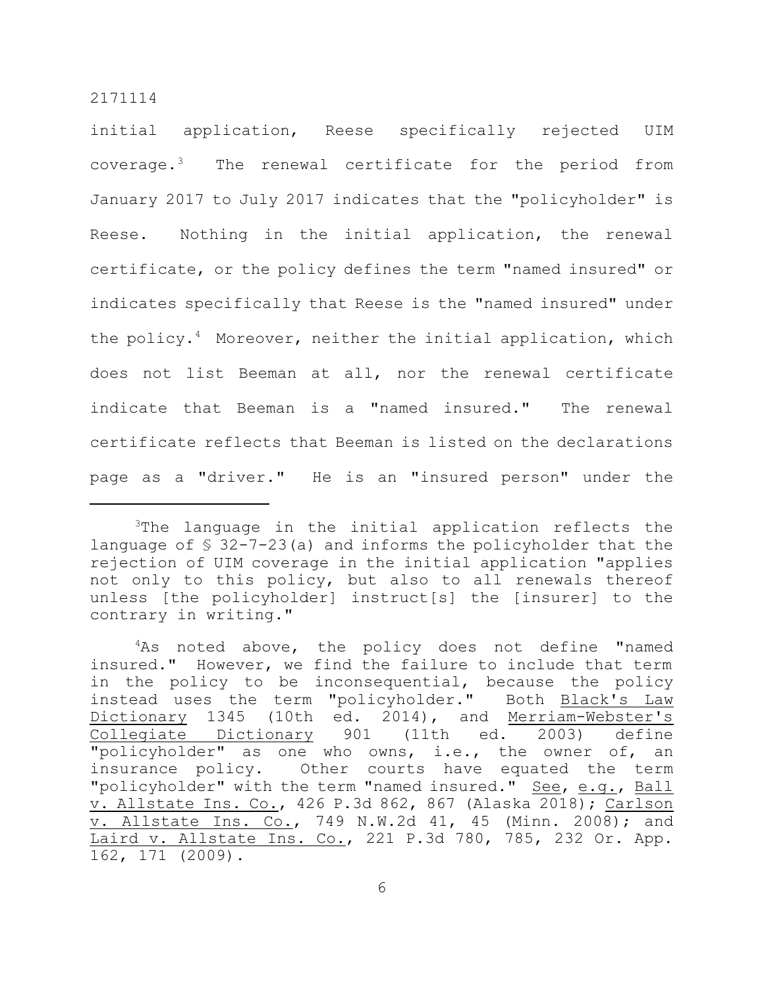initial application, Reese specifically rejected UIM coverage.<sup>3</sup> The renewal certificate for the period from January 2017 to July 2017 indicates that the "policyholder" is Reese. Nothing in the initial application, the renewal certificate, or the policy defines the term "named insured" or indicates specifically that Reese is the "named insured" under the policy.<sup>4</sup> Moreover, neither the initial application, which does not list Beeman at all, nor the renewal certificate indicate that Beeman is a "named insured." The renewal certificate reflects that Beeman is listed on the declarations page as a "driver." He is an "insured person" under the

<sup>&</sup>lt;sup>3</sup>The language in the initial application reflects the language of § 32-7-23(a) and informs the policyholder that the rejection of UIM coverage in the initial application "applies not only to this policy, but also to all renewals thereof unless [the policyholder] instruct[s] the [insurer] to the contrary in writing."

 $4$ As noted above, the policy does not define "named insured." However, we find the failure to include that term in the policy to be inconsequential, because the policy instead uses the term "policyholder." Both Black's Law Dictionary 1345 (10th ed. 2014), and Merriam-Webster's Collegiate Dictionary 901 (11th ed. 2003) define "policyholder" as one who owns, i.e., the owner of, an insurance policy. Other courts have equated the term "policyholder" with the term "named insured." See, e.g., Ball v. Allstate Ins. Co., 426 P.3d 862, 867 (Alaska 2018); Carlson v. Allstate Ins. Co., 749 N.W.2d 41, 45 (Minn. 2008); and Laird v. Allstate Ins. Co., 221 P.3d 780, 785, 232 Or. App. 162, 171 (2009).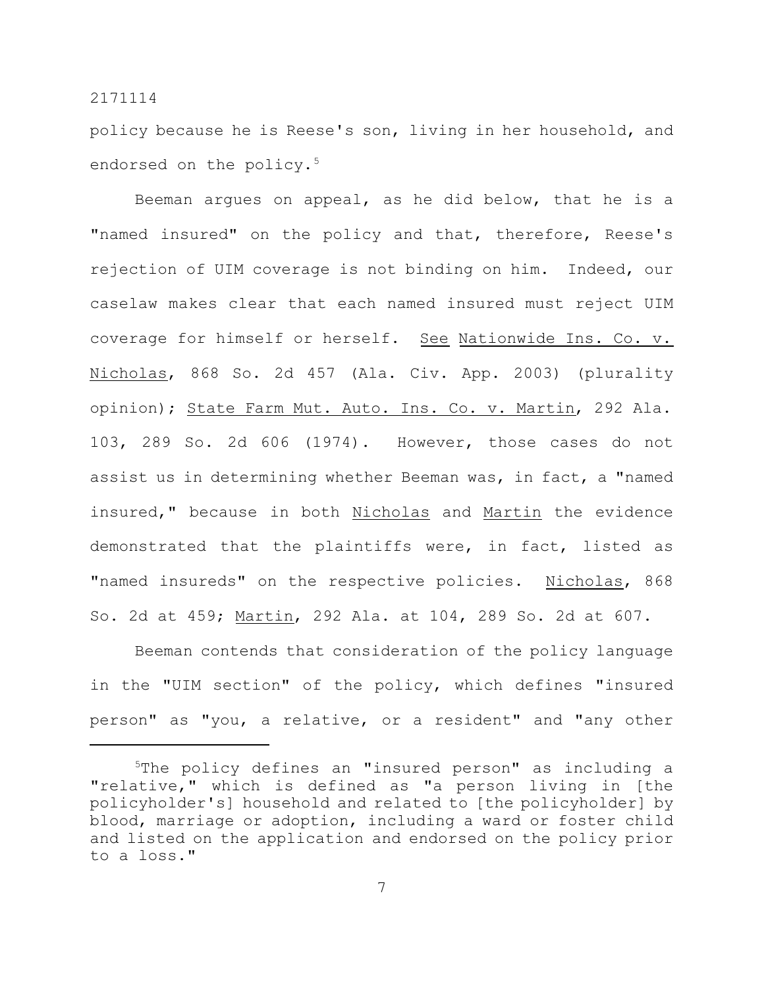policy because he is Reese's son, living in her household, and endorsed on the policy.<sup>5</sup>

Beeman argues on appeal, as he did below, that he is a "named insured" on the policy and that, therefore, Reese's rejection of UIM coverage is not binding on him. Indeed, our caselaw makes clear that each named insured must reject UIM coverage for himself or herself. See Nationwide Ins. Co. v. Nicholas, 868 So. 2d 457 (Ala. Civ. App. 2003) (plurality opinion); State Farm Mut. Auto. Ins. Co. v. Martin, 292 Ala. 103, 289 So. 2d 606 (1974). However, those cases do not assist us in determining whether Beeman was, in fact, a "named insured," because in both Nicholas and Martin the evidence demonstrated that the plaintiffs were, in fact, listed as "named insureds" on the respective policies. Nicholas, 868 So. 2d at 459; Martin, 292 Ala. at 104, 289 So. 2d at 607.

Beeman contends that consideration of the policy language in the "UIM section" of the policy, which defines "insured person" as "you, a relative, or a resident" and "any other

<sup>5</sup>The policy defines an "insured person" as including a "relative," which is defined as "a person living in [the policyholder's] household and related to [the policyholder] by blood, marriage or adoption, including a ward or foster child and listed on the application and endorsed on the policy prior to a loss."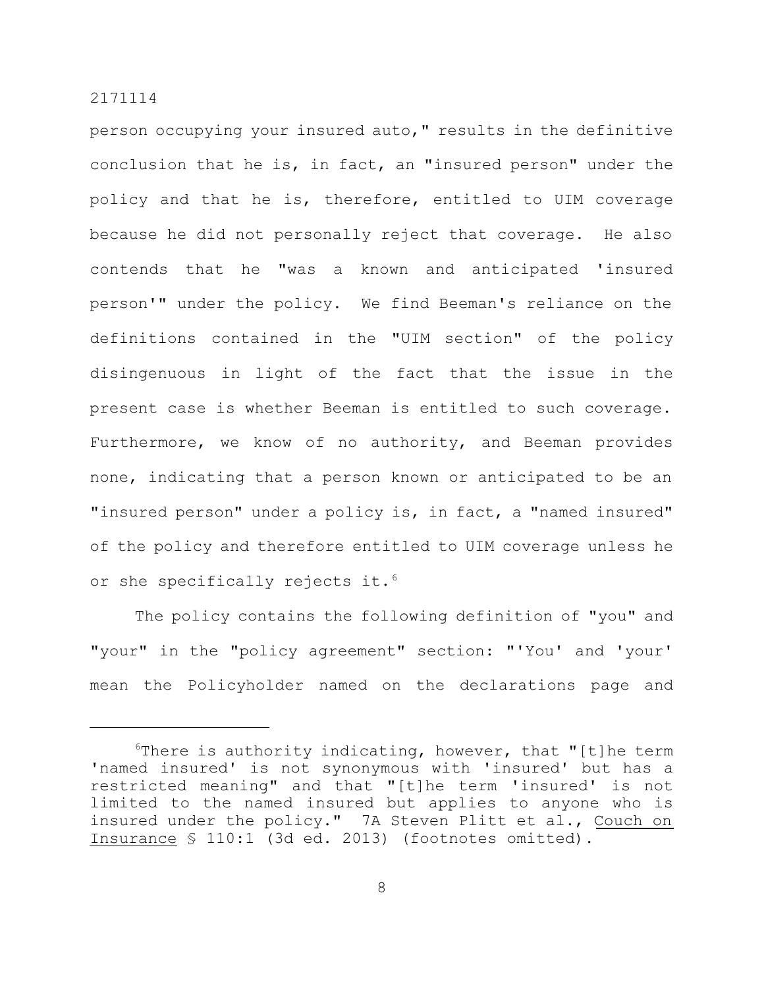person occupying your insured auto," results in the definitive conclusion that he is, in fact, an "insured person" under the policy and that he is, therefore, entitled to UIM coverage because he did not personally reject that coverage. He also contends that he "was a known and anticipated 'insured person'" under the policy. We find Beeman's reliance on the definitions contained in the "UIM section" of the policy disingenuous in light of the fact that the issue in the present case is whether Beeman is entitled to such coverage. Furthermore, we know of no authority, and Beeman provides none, indicating that a person known or anticipated to be an "insured person" under a policy is, in fact, a "named insured" of the policy and therefore entitled to UIM coverage unless he or she specifically rejects it.<sup>6</sup>

The policy contains the following definition of "you" and "your" in the "policy agreement" section: "'You' and 'your' mean the Policyholder named on the declarations page and

 $6$ There is authority indicating, however, that "[t]he term 'named insured' is not synonymous with 'insured' but has a restricted meaning" and that "[t]he term 'insured' is not limited to the named insured but applies to anyone who is insured under the policy." 7A Steven Plitt et al., Couch on Insurance § 110:1 (3d ed. 2013) (footnotes omitted).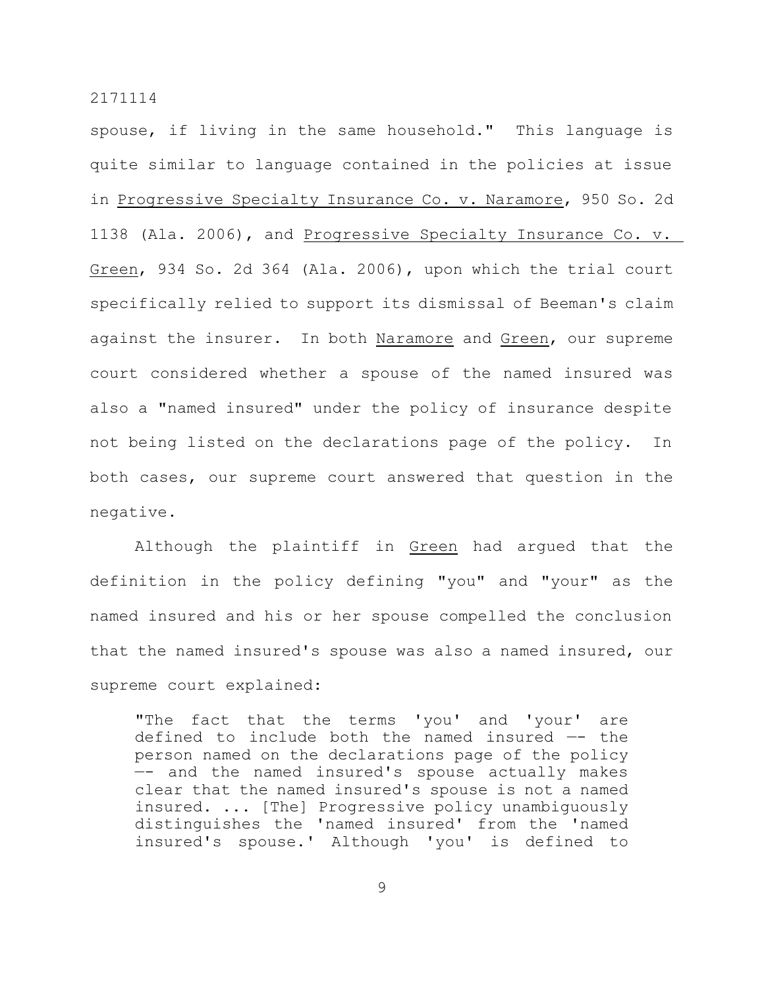spouse, if living in the same household." This language is quite similar to language contained in the policies at issue in Progressive Specialty Insurance Co. v. Naramore, 950 So. 2d 1138 (Ala. 2006), and Progressive Specialty Insurance Co. v. Green, 934 So. 2d 364 (Ala. 2006), upon which the trial court specifically relied to support its dismissal of Beeman's claim against the insurer. In both Naramore and Green, our supreme court considered whether a spouse of the named insured was also a "named insured" under the policy of insurance despite not being listed on the declarations page of the policy. In both cases, our supreme court answered that question in the negative.

Although the plaintiff in Green had argued that the definition in the policy defining "you" and "your" as the named insured and his or her spouse compelled the conclusion that the named insured's spouse was also a named insured, our supreme court explained:

"The fact that the terms 'you' and 'your' are defined to include both the named insured —- the person named on the declarations page of the policy —- and the named insured's spouse actually makes clear that the named insured's spouse is not a named insured. ... [The] Progressive policy unambiguously distinguishes the 'named insured' from the 'named insured's spouse.' Although 'you' is defined to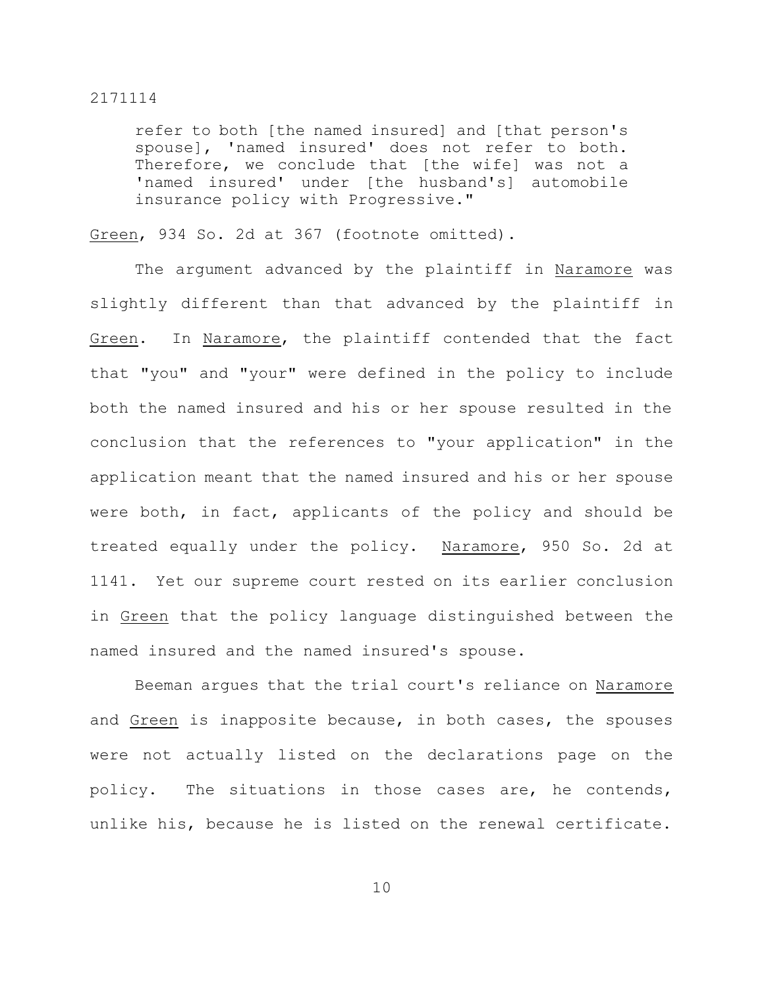refer to both [the named insured] and [that person's spouse], 'named insured' does not refer to both. Therefore, we conclude that [the wife] was not a 'named insured' under [the husband's] automobile insurance policy with Progressive."

Green, 934 So. 2d at 367 (footnote omitted).

The argument advanced by the plaintiff in Naramore was slightly different than that advanced by the plaintiff in Green. In Naramore, the plaintiff contended that the fact that "you" and "your" were defined in the policy to include both the named insured and his or her spouse resulted in the conclusion that the references to "your application" in the application meant that the named insured and his or her spouse were both, in fact, applicants of the policy and should be treated equally under the policy. Naramore, 950 So. 2d at 1141. Yet our supreme court rested on its earlier conclusion in Green that the policy language distinguished between the named insured and the named insured's spouse.

Beeman argues that the trial court's reliance on Naramore and Green is inapposite because, in both cases, the spouses were not actually listed on the declarations page on the policy. The situations in those cases are, he contends, unlike his, because he is listed on the renewal certificate.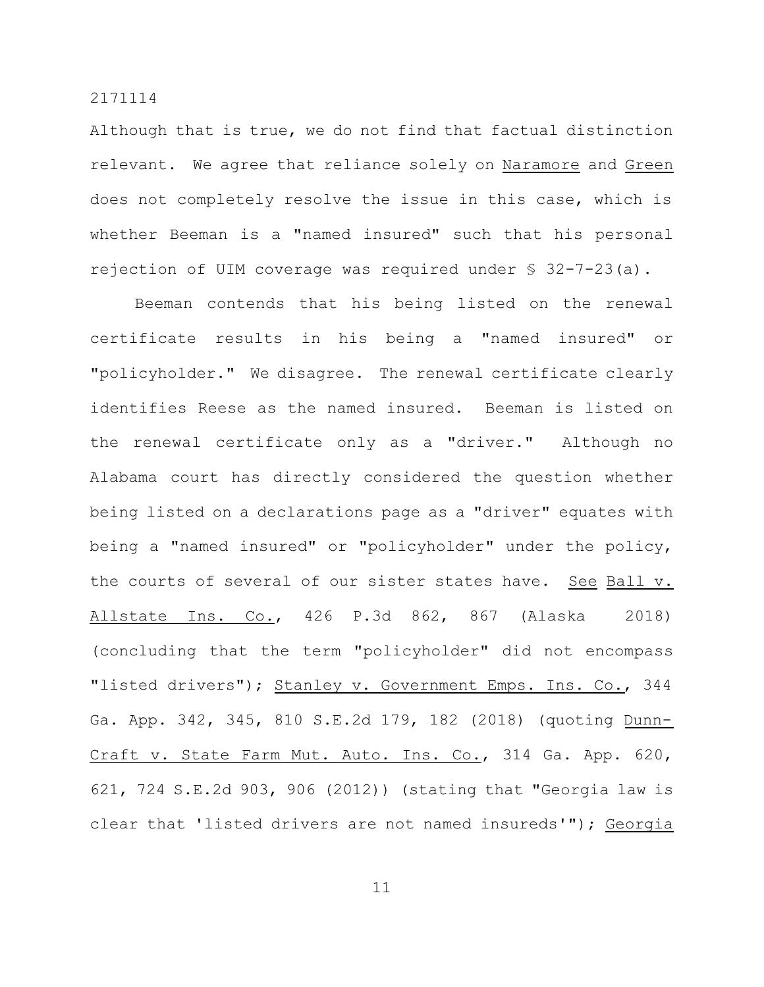Although that is true, we do not find that factual distinction relevant. We agree that reliance solely on Naramore and Green does not completely resolve the issue in this case, which is whether Beeman is a "named insured" such that his personal rejection of UIM coverage was required under § 32-7-23(a).

Beeman contends that his being listed on the renewal certificate results in his being a "named insured" or "policyholder." We disagree. The renewal certificate clearly identifies Reese as the named insured. Beeman is listed on the renewal certificate only as a "driver." Although no Alabama court has directly considered the question whether being listed on a declarations page as a "driver" equates with being a "named insured" or "policyholder" under the policy, the courts of several of our sister states have. See Ball v. Allstate Ins. Co., 426 P.3d 862, 867 (Alaska 2018) (concluding that the term "policyholder" did not encompass "listed drivers"); Stanley v. Government Emps. Ins. Co., 344 Ga. App. 342, 345, 810 S.E.2d 179, 182 (2018) (quoting Dunn-Craft v. State Farm Mut. Auto. Ins. Co., 314 Ga. App. 620, 621, 724 S.E.2d 903, 906 (2012)) (stating that "Georgia law is clear that 'listed drivers are not named insureds'"); Georgia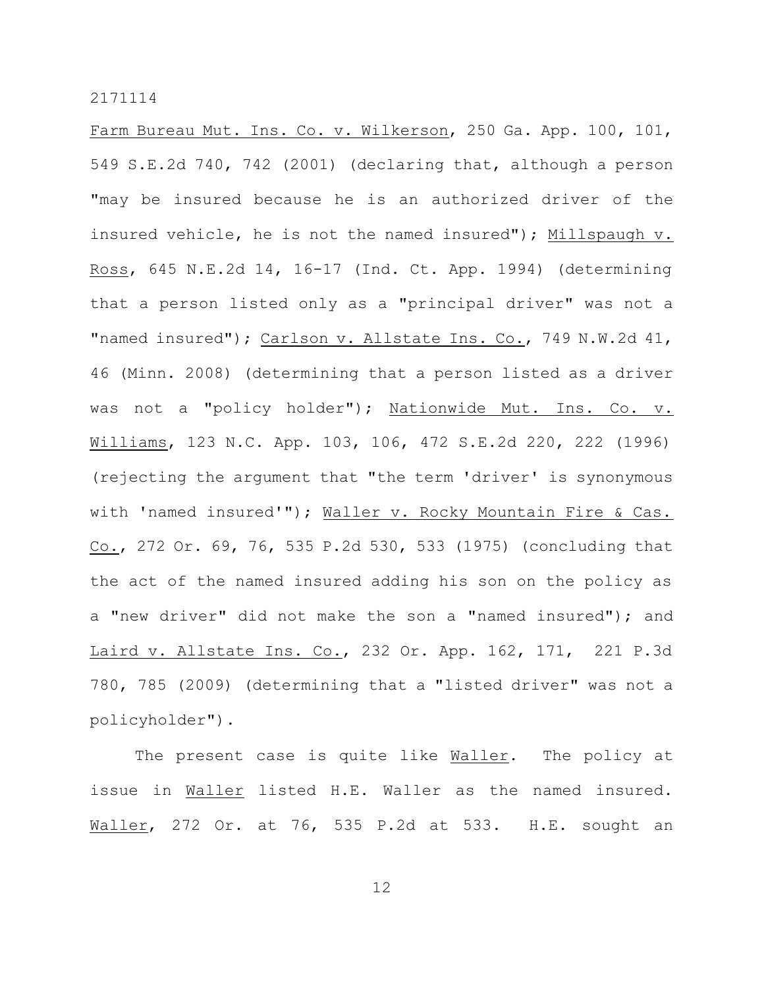Farm Bureau Mut. Ins. Co. v. Wilkerson, 250 Ga. App. 100, 101, 549 S.E.2d 740, 742 (2001) (declaring that, although a person "may be insured because he is an authorized driver of the insured vehicle, he is not the named insured"); Millspaugh v. Ross, 645 N.E.2d 14, 16-17 (Ind. Ct. App. 1994) (determining that a person listed only as a "principal driver" was not a "named insured"); Carlson v. Allstate Ins. Co., 749 N.W.2d 41, 46 (Minn. 2008) (determining that a person listed as a driver was not a "policy holder"); Nationwide Mut. Ins. Co. v. Williams, 123 N.C. App. 103, 106, 472 S.E.2d 220, 222 (1996) (rejecting the argument that "the term 'driver' is synonymous with 'named insured'"); Waller v. Rocky Mountain Fire & Cas. Co., 272 Or. 69, 76, 535 P.2d 530, 533 (1975) (concluding that the act of the named insured adding his son on the policy as a "new driver" did not make the son a "named insured"); and Laird v. Allstate Ins. Co., 232 Or. App. 162, 171, 221 P.3d 780, 785 (2009) (determining that a "listed driver" was not a policyholder").

The present case is quite like Waller. The policy at issue in Waller listed H.E. Waller as the named insured. Waller, 272 Or. at 76, 535 P.2d at 533. H.E. sought an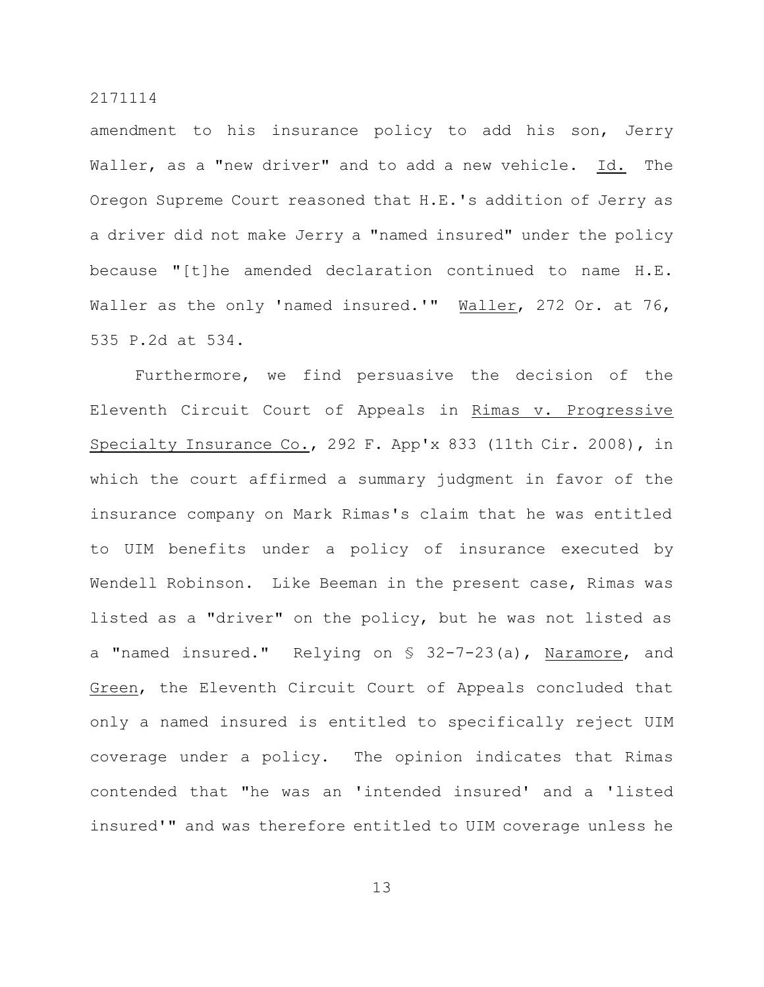amendment to his insurance policy to add his son, Jerry Waller, as a "new driver" and to add a new vehicle. Id. The Oregon Supreme Court reasoned that H.E.'s addition of Jerry as a driver did not make Jerry a "named insured" under the policy because "[t]he amended declaration continued to name H.E. Waller as the only 'named insured.'" Waller, 272 Or. at 76, 535 P.2d at 534.

Furthermore, we find persuasive the decision of the Eleventh Circuit Court of Appeals in Rimas v. Progressive Specialty Insurance Co., 292 F. App'x 833 (11th Cir. 2008), in which the court affirmed a summary judgment in favor of the insurance company on Mark Rimas's claim that he was entitled to UIM benefits under a policy of insurance executed by Wendell Robinson. Like Beeman in the present case, Rimas was listed as a "driver" on the policy, but he was not listed as a "named insured." Relying on § 32-7-23(a), Naramore, and Green, the Eleventh Circuit Court of Appeals concluded that only a named insured is entitled to specifically reject UIM coverage under a policy. The opinion indicates that Rimas contended that "he was an 'intended insured' and a 'listed insured'" and was therefore entitled to UIM coverage unless he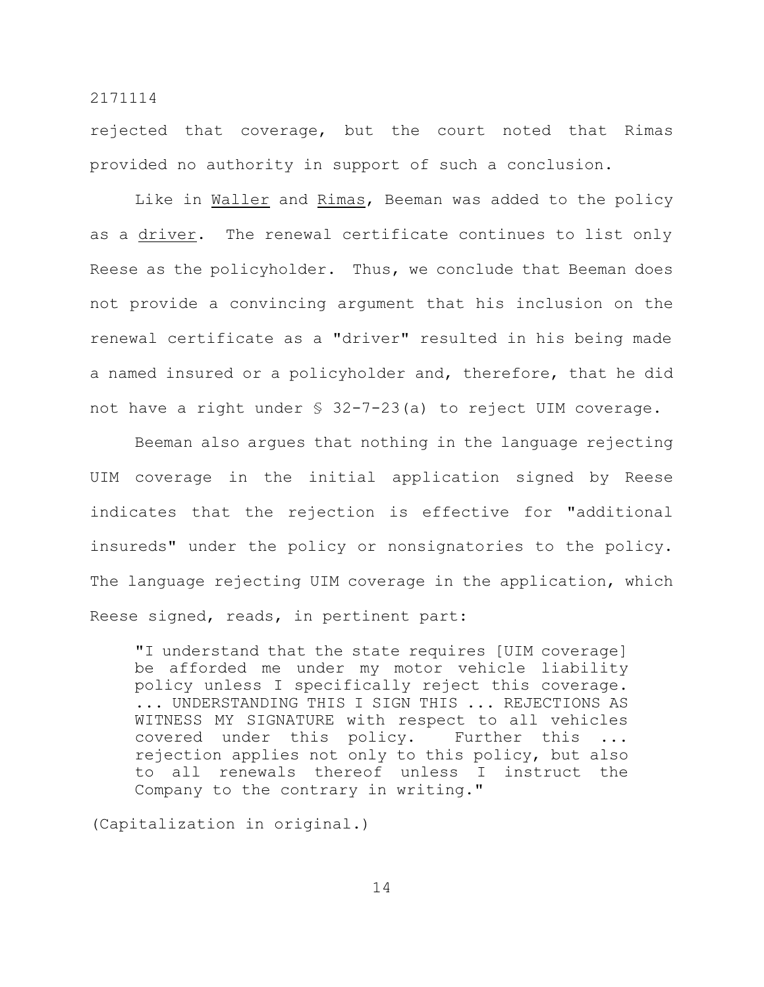rejected that coverage, but the court noted that Rimas provided no authority in support of such a conclusion.

Like in Waller and Rimas, Beeman was added to the policy as a driver. The renewal certificate continues to list only Reese as the policyholder. Thus, we conclude that Beeman does not provide a convincing argument that his inclusion on the renewal certificate as a "driver" resulted in his being made a named insured or a policyholder and, therefore, that he did not have a right under § 32-7-23(a) to reject UIM coverage.

Beeman also argues that nothing in the language rejecting UIM coverage in the initial application signed by Reese indicates that the rejection is effective for "additional insureds" under the policy or nonsignatories to the policy. The language rejecting UIM coverage in the application, which Reese signed, reads, in pertinent part:

"I understand that the state requires [UIM coverage] be afforded me under my motor vehicle liability policy unless I specifically reject this coverage. ... UNDERSTANDING THIS I SIGN THIS ... REJECTIONS AS WITNESS MY SIGNATURE with respect to all vehicles covered under this policy. Further this ... rejection applies not only to this policy, but also to all renewals thereof unless I instruct the Company to the contrary in writing."

(Capitalization in original.)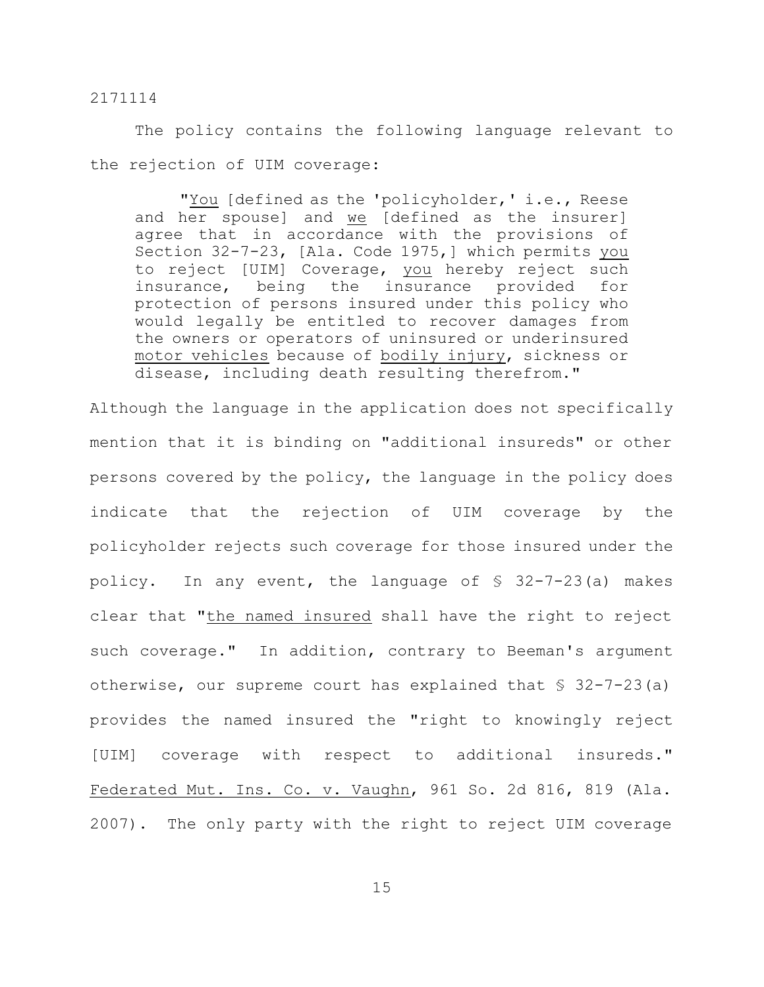The policy contains the following language relevant to the rejection of UIM coverage:

"You [defined as the 'policyholder,' i.e., Reese and her spouse] and we [defined as the insurer] agree that in accordance with the provisions of Section 32-7-23, [Ala. Code 1975,] which permits you to reject [UIM] Coverage, you hereby reject such insurance, being the insurance provided for protection of persons insured under this policy who would legally be entitled to recover damages from the owners or operators of uninsured or underinsured motor vehicles because of bodily injury, sickness or disease, including death resulting therefrom."

Although the language in the application does not specifically mention that it is binding on "additional insureds" or other persons covered by the policy, the language in the policy does indicate that the rejection of UIM coverage by the policyholder rejects such coverage for those insured under the policy. In any event, the language of § 32-7-23(a) makes clear that "the named insured shall have the right to reject such coverage." In addition, contrary to Beeman's argument otherwise, our supreme court has explained that § 32-7-23(a) provides the named insured the "right to knowingly reject [UIM] coverage with respect to additional insureds." Federated Mut. Ins. Co. v. Vaughn, 961 So. 2d 816, 819 (Ala. 2007). The only party with the right to reject UIM coverage